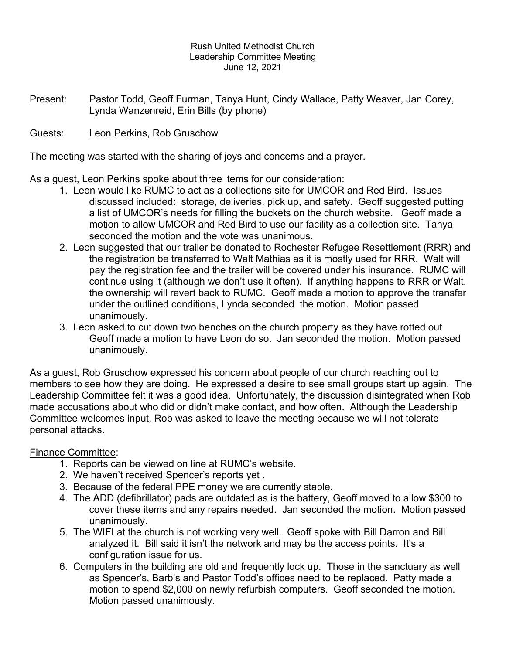#### Rush United Methodist Church Leadership Committee Meeting June 12, 2021

Present: Pastor Todd, Geoff Furman, Tanya Hunt, Cindy Wallace, Patty Weaver, Jan Corey, Lynda Wanzenreid, Erin Bills (by phone)

Guests: Leon Perkins, Rob Gruschow

The meeting was started with the sharing of joys and concerns and a prayer.

As a guest, Leon Perkins spoke about three items for our consideration:

- 1. Leon would like RUMC to act as a collections site for UMCOR and Red Bird. Issues discussed included: storage, deliveries, pick up, and safety. Geoff suggested putting a list of UMCOR's needs for filling the buckets on the church website. Geoff made a motion to allow UMCOR and Red Bird to use our facility as a collection site. Tanya seconded the motion and the vote was unanimous.
- 2. Leon suggested that our trailer be donated to Rochester Refugee Resettlement (RRR) and the registration be transferred to Walt Mathias as it is mostly used for RRR. Walt will pay the registration fee and the trailer will be covered under his insurance. RUMC will continue using it (although we don't use it often). If anything happens to RRR or Walt, the ownership will revert back to RUMC. Geoff made a motion to approve the transfer under the outlined conditions, Lynda seconded the motion. Motion passed unanimously.
- 3. Leon asked to cut down two benches on the church property as they have rotted out Geoff made a motion to have Leon do so. Jan seconded the motion. Motion passed unanimously.

As a guest, Rob Gruschow expressed his concern about people of our church reaching out to members to see how they are doing. He expressed a desire to see small groups start up again. The Leadership Committee felt it was a good idea. Unfortunately, the discussion disintegrated when Rob made accusations about who did or didn't make contact, and how often. Although the Leadership Committee welcomes input, Rob was asked to leave the meeting because we will not tolerate personal attacks.

# Finance Committee:

- 1. Reports can be viewed on line at RUMC's website.
- 2. We haven't received Spencer's reports yet .
- 3. Because of the federal PPE money we are currently stable.
- 4. The ADD (defibrillator) pads are outdated as is the battery, Geoff moved to allow \$300 to cover these items and any repairs needed. Jan seconded the motion. Motion passed unanimously.
- 5. The WIFI at the church is not working very well. Geoff spoke with Bill Darron and Bill analyzed it. Bill said it isn't the network and may be the access points. It's a configuration issue for us.
- 6. Computers in the building are old and frequently lock up. Those in the sanctuary as well as Spencer's, Barb's and Pastor Todd's offices need to be replaced. Patty made a motion to spend \$2,000 on newly refurbish computers. Geoff seconded the motion. Motion passed unanimously.